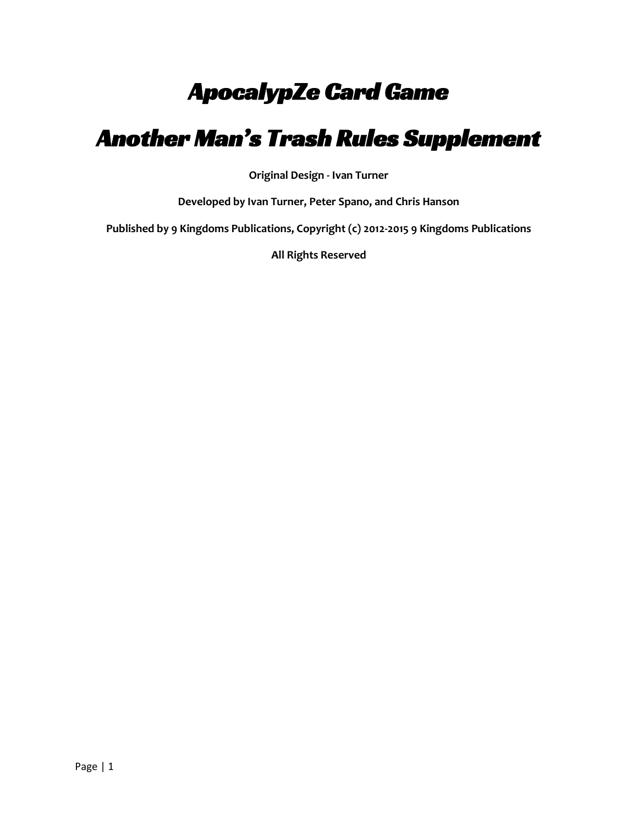# ApocalypZe Card Game

# Another Man's Trash Rules Supplement

**Original Design - Ivan Turner**

**Developed by Ivan Turner, Peter Spano, and Chris Hanson**

**Published by 9 Kingdoms Publications, Copyright (c) 2012-2015 9 Kingdoms Publications**

**All Rights Reserved**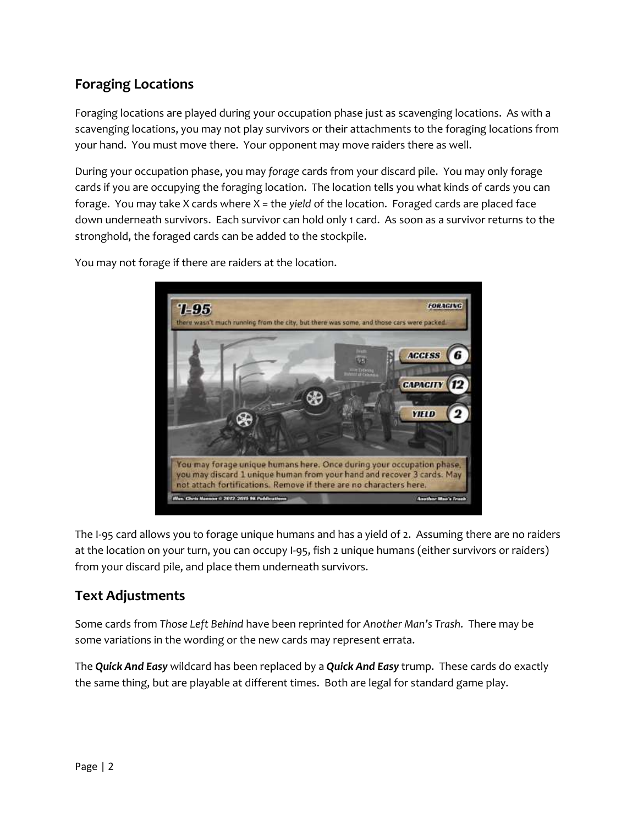### **Foraging Locations**

Foraging locations are played during your occupation phase just as scavenging locations. As with a scavenging locations, you may not play survivors or their attachments to the foraging locations from your hand. You must move there. Your opponent may move raiders there as well.

During your occupation phase, you may *forage* cards from your discard pile. You may only forage cards if you are occupying the foraging location. The location tells you what kinds of cards you can forage. You may take X cards where X = the *yield* of the location. Foraged cards are placed face down underneath survivors. Each survivor can hold only 1 card. As soon as a survivor returns to the stronghold, the foraged cards can be added to the stockpile.



You may not forage if there are raiders at the location.

The I-95 card allows you to forage unique humans and has a yield of 2. Assuming there are no raiders at the location on your turn, you can occupy I-95, fish 2 unique humans (either survivors or raiders) from your discard pile, and place them underneath survivors.

#### **Text Adjustments**

Some cards from *Those Left Behind* have been reprinted for *Another Man's Trash*. There may be some variations in the wording or the new cards may represent errata.

The *Quick And Easy* wildcard has been replaced by a *Quick And Easy* trump. These cards do exactly the same thing, but are playable at different times. Both are legal for standard game play.